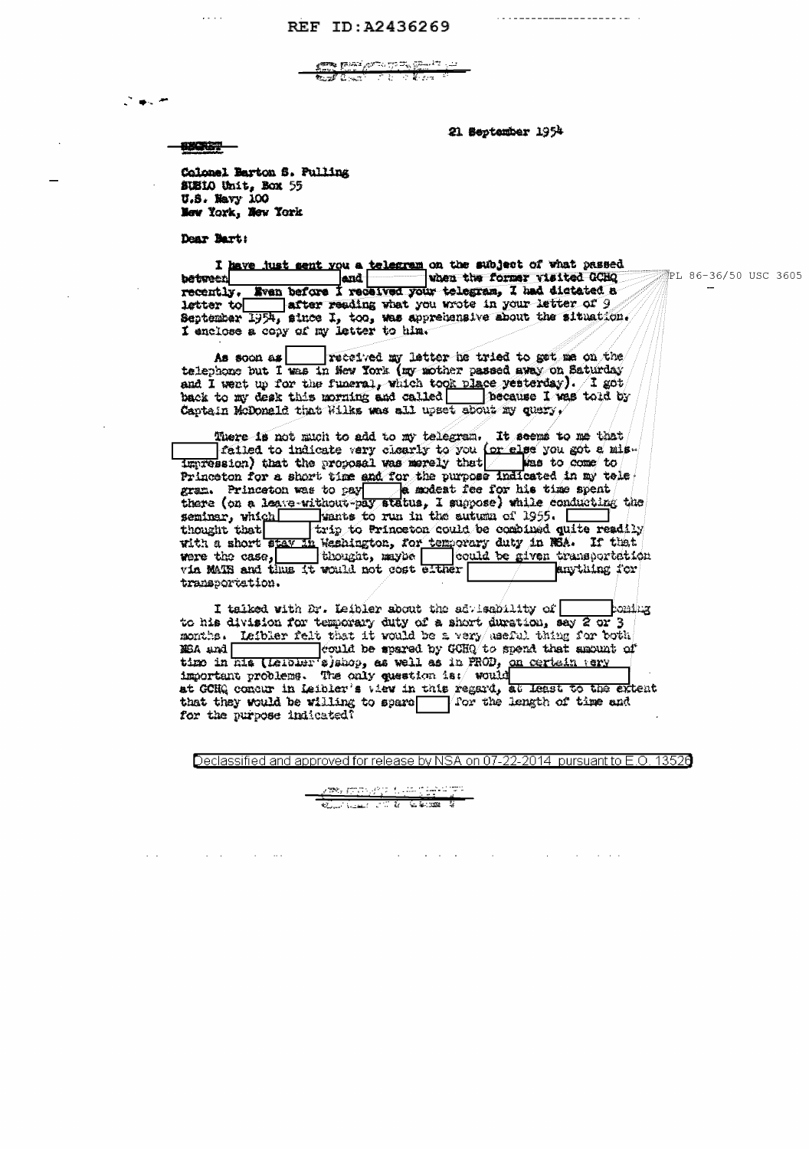## REF ID:A2436269

<del>sta pri</del>gingi <u>den 194</u><br>Auf Centrum (1944)

21 September 1954

PL 86-36/50 USC 3605

**BUCKET --**

计单元

 $\mathbf{r} \leftarrow \mathbf{r} \leftarrow \mathbf{r}$ 

Colonel Barton S. Pulling SUSIO Unit, Box 55 U.S. Navy 100 New York, New York

Dear Bart:

 $\sim 10^{11}$  km s  $^{-1}$ 

 $\sim 10^{11}$  and  $\sim 10^{11}$ 

**between** recently. Even before I received your telegram, I had distated a letter to after reading what you wrote in your letter of 9 September 1954, since I, too, was apprehensive about the situation.

telephone but I was in New York (my mother passed away on Saturday and I went up for the funeral, which took place yesterday). I got back to my desk this morning and called  $\Box$  because I was told by Captain McDonald that Wilks was all upset about my query.

There is not much to add to my telegram. It seems to me that<br>failed to indicate very closify to you (or else you got a mis-<br>impression) that the proposal was merely that Princeton for a short time and for the purpose indicated in my tole Frame of the state of the set of the purpose indicated in my tons.<br>
Frame Princeton was to pay the modest fee for his time spent<br>
there (on a leave-without-pay status, I suppose) while conducting the<br>
seminar, which with t transportation.

I talked with Dr. Leibler about the advisability of poming to his division for temporary duty of a short duration, say 2 or 3 months. Leibler felt that it would be a very useful thing for both MBA and | equiled be spared by GCHQ to spend that amount of MEA and could be spared by GCHQ to spend that amount of time in his (Leiblur s)shop, as well as in PROD, on certain very important problems. The only question is: would at GCHQ concur in Leibler's view in this regard, at least to the extent that they would be willing to spare  $\boxed{\quad}$  for the length of time and for the purpose indicated?

Declassified and approved for release by NSA on 07-22-2014 pursuant to E.O. 13526

**Contract Contract** 

 $\sim 10^{-1}$ 

والمحالة والمساوري الأراجي والجمود والأهمام <u>Kathari Siri Siri Siri</u><br>Kunstan James Kathari